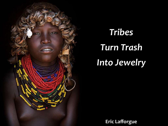

*Tribes Turn Trash Into Jewelry* 

**Eric Lafforgue**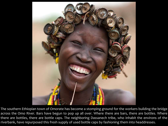

The southern Ethiopian town of Omorate has become a stomping ground for the workers building the bridge across the Omo River. Bars have begun to pop up all over. Where there are bars, there are bottles. Where there are bottles, there are bottle caps. The neighboring Dassanech tribe, who inhabit the environs of the riverbank, have repurposed this fresh supply of used bottle caps by fashioning them into headdresses.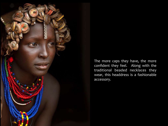

The more caps they have, the more confident they feel. Along with the traditional beaded necklaces they wear, this headdress is a fashionable accessory.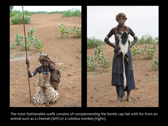

The most fashionable outfit consists of complementing the bottle cap hat with fur from an animal such as a cheetah (left) or a colobus monkey (right).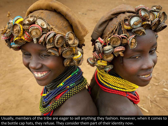

Usually, members of the tribe are eager to sell anything they fashion. However, when it comes to the bottle cap hats, they refuse. They consider them part of their identity now.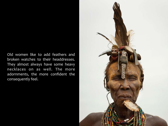Old women like to add feathers and broken watches to their headdresses. They almost always have some heavy necklaces on as well. The more adornments, the more confident the consequently feel.

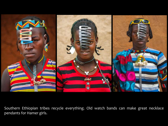

Southern Ethiopian tribes recycle everything. Old watch bands can make great necklace pendants for Hamer girls.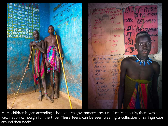

Mursi children began attending school due to government pressure. Simultaneously, there was a big vaccination campaign for the tribe. These teens can be seen wearing a collection of syringe caps around their necks.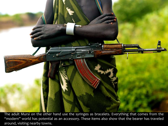The adult Mursi on the other hand use the syringes as bracelets. Everything that comes from the "modern" world has potential as an accessory. These items also show that the bearer has traveled around, visiting nearby towns.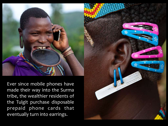Ever since mobile phones have made their way into the Surma tribe, the wealthier residents of the Tulgit purchase disposable prepaid phone cards that eventually turn into earrings.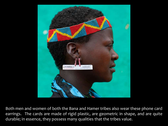

Both men and women of both the Bana and Hamer tribes also wear these phone card earrings. The cards are made of rigid plastic, are geometric in shape, and are quite durable; in essence, they possess many qualities that the tribes value.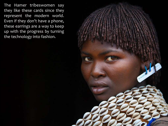The Hamer tribeswomen say they like these cards since they represent the modern world. Even if they don't have a phone, these earrings are a way to keep up with the progress by turning the technology into fashion.

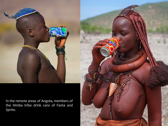

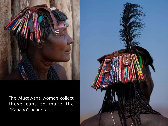

The Mucawana women collect these cans to make the "Kapapo" headdress.

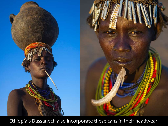

Ethiopia's Dassanech also incorporate these cans in their headwear.